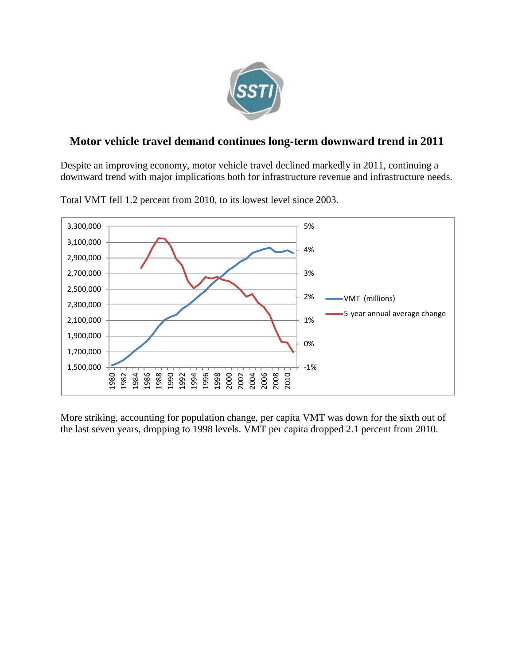

## **Motor vehicle travel demand continues long-term downward trend in 2011**

Despite an improving economy, motor vehicle travel declined markedly in 2011, continuing a downward trend with major implications both for infrastructure revenue and infrastructure needs.



Total VMT fell 1.2 percent from 2010, to its lowest level since 2003.

More striking, accounting for population change, per capita VMT was down for the sixth out of the last seven years, dropping to 1998 levels. VMT per capita dropped 2.1 percent from 2010.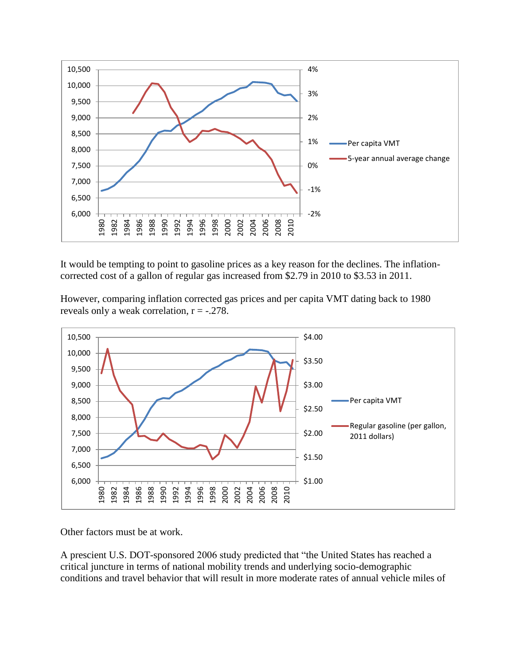

It would be tempting to point to gasoline prices as a key reason for the declines. The inflationcorrected cost of a gallon of regular gas increased from \$2.79 in 2010 to \$3.53 in 2011.

However, comparing inflation corrected gas prices and per capita VMT dating back to 1980 reveals only a weak correlation,  $r = -.278$ .



Other factors must be at work.

A prescient U.S. DOT-sponsored 2006 study predicted that "the United States has reached a critical juncture in terms of national mobility trends and underlying socio-demographic conditions and travel behavior that will result in more moderate rates of annual vehicle miles of